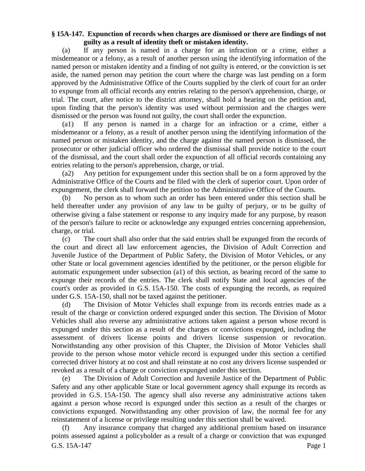## **§ 15A-147. Expunction of records when charges are dismissed or there are findings of not guilty as a result of identity theft or mistaken identity.**

(a) If any person is named in a charge for an infraction or a crime, either a misdemeanor or a felony, as a result of another person using the identifying information of the named person or mistaken identity and a finding of not guilty is entered, or the conviction is set aside, the named person may petition the court where the charge was last pending on a form approved by the Administrative Office of the Courts supplied by the clerk of court for an order to expunge from all official records any entries relating to the person's apprehension, charge, or trial. The court, after notice to the district attorney, shall hold a hearing on the petition and, upon finding that the person's identity was used without permission and the charges were dismissed or the person was found not guilty, the court shall order the expunction.

(a1) If any person is named in a charge for an infraction or a crime, either a misdemeanor or a felony, as a result of another person using the identifying information of the named person or mistaken identity, and the charge against the named person is dismissed, the prosecutor or other judicial officer who ordered the dismissal shall provide notice to the court of the dismissal, and the court shall order the expunction of all official records containing any entries relating to the person's apprehension, charge, or trial.

(a2) Any petition for expungement under this section shall be on a form approved by the Administrative Office of the Courts and be filed with the clerk of superior court. Upon order of expungement, the clerk shall forward the petition to the Administrative Office of the Courts.

(b) No person as to whom such an order has been entered under this section shall be held thereafter under any provision of any law to be guilty of perjury, or to be guilty of otherwise giving a false statement or response to any inquiry made for any purpose, by reason of the person's failure to recite or acknowledge any expunged entries concerning apprehension, charge, or trial.

(c) The court shall also order that the said entries shall be expunged from the records of the court and direct all law enforcement agencies, the Division of Adult Correction and Juvenile Justice of the Department of Public Safety, the Division of Motor Vehicles, or any other State or local government agencies identified by the petitioner, or the person eligible for automatic expungement under subsection (a1) of this section, as bearing record of the same to expunge their records of the entries. The clerk shall notify State and local agencies of the court's order as provided in G.S. 15A-150. The costs of expunging the records, as required under G.S. 15A-150, shall not be taxed against the petitioner.

(d) The Division of Motor Vehicles shall expunge from its records entries made as a result of the charge or conviction ordered expunged under this section. The Division of Motor Vehicles shall also reverse any administrative actions taken against a person whose record is expunged under this section as a result of the charges or convictions expunged, including the assessment of drivers license points and drivers license suspension or revocation. Notwithstanding any other provision of this Chapter, the Division of Motor Vehicles shall provide to the person whose motor vehicle record is expunged under this section a certified corrected driver history at no cost and shall reinstate at no cost any drivers license suspended or revoked as a result of a charge or conviction expunged under this section.

(e) The Division of Adult Correction and Juvenile Justice of the Department of Public Safety and any other applicable State or local government agency shall expunge its records as provided in G.S. 15A-150. The agency shall also reverse any administrative actions taken against a person whose record is expunged under this section as a result of the charges or convictions expunged. Notwithstanding any other provision of law, the normal fee for any reinstatement of a license or privilege resulting under this section shall be waived.

G.S. 15A-147 Page 1 (f) Any insurance company that charged any additional premium based on insurance points assessed against a policyholder as a result of a charge or conviction that was expunged